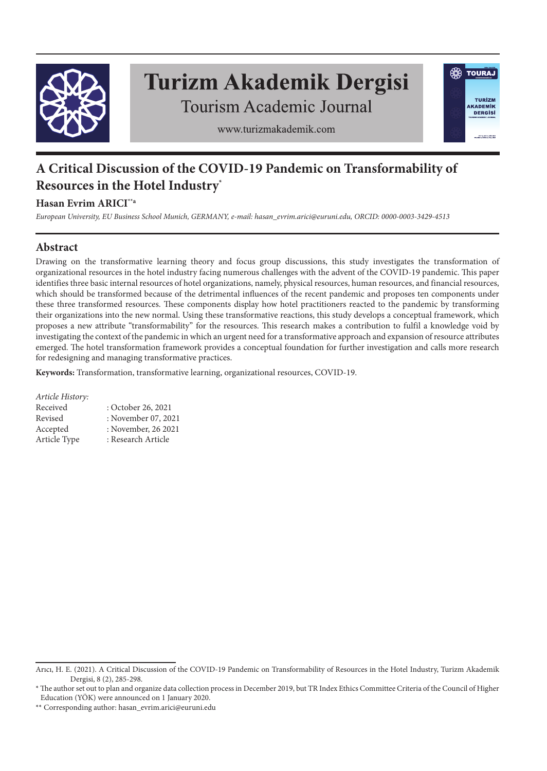

# **Turizm Akademik Dergisi**

**SO TOURAJ** 

TURÍZM

**AKADEMIK DERGISI** 

**Tourism Academic Journal** 



# **A Critical Discussion of the COVID-19 Pandemic on Transformability of Resources in the Hotel Industry\***

# **Hasan Evrim ARICI\*\*a**

*European University, EU Business School Munich, GERMANY, e-mail: hasan\_evrim.arici@euruni.edu, ORCID: 0000-0003-3429-4513*

# **Abstract**

Drawing on the transformative learning theory and focus group discussions, this study investigates the transformation of organizational resources in the hotel industry facing numerous challenges with the advent of the COVID-19 pandemic. This paper identifies three basic internal resources of hotel organizations, namely, physical resources, human resources, and financial resources, which should be transformed because of the detrimental influences of the recent pandemic and proposes ten components under these three transformed resources. These components display how hotel practitioners reacted to the pandemic by transforming their organizations into the new normal. Using these transformative reactions, this study develops a conceptual framework, which proposes a new attribute "transformability" for the resources. This research makes a contribution to fulfil a knowledge void by investigating the context of the pandemic in which an urgent need for a transformative approach and expansion of resource attributes emerged. The hotel transformation framework provides a conceptual foundation for further investigation and calls more research for redesigning and managing transformative practices.

**Keywords:** Transformation, transformative learning, organizational resources, COVID-19.

## *Article History:*

| Received     | : October 26, 2021  |
|--------------|---------------------|
| Revised      | : November 07, 2021 |
| Accepted     | : November, 26 2021 |
| Article Type | : Research Article  |

Arıcı, H. E. (2021). A Critical Discussion of the COVID-19 Pandemic on Transformability of Resources in the Hotel Industry, Turizm Akademik Dergisi, 8 (2), 285-298.

<sup>\*</sup> The author set out to plan and organize data collection process in December 2019, but TR Index Ethics Committee Criteria of the Council of Higher Education (YÖK) were announced on 1 January 2020.

<sup>\*\*</sup> Corresponding author: hasan\_evrim.arici@euruni.edu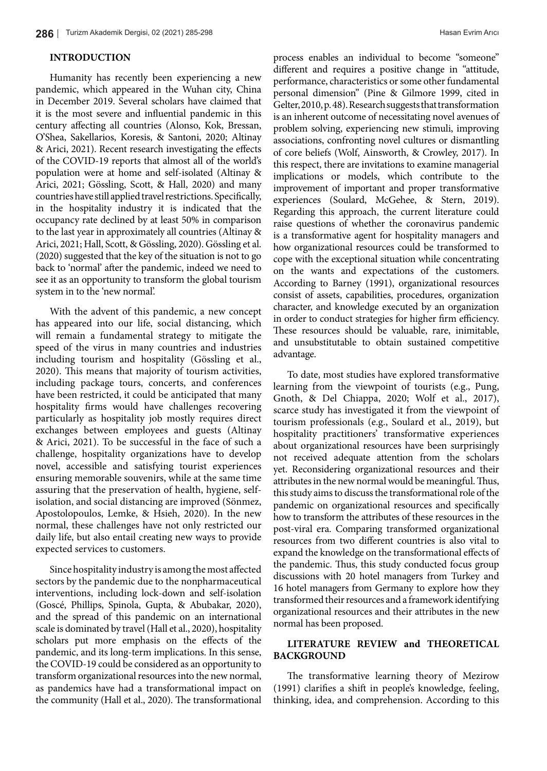# **INTRODUCTION**

Humanity has recently been experiencing a new pandemic, which appeared in the Wuhan city, China in December 2019. Several scholars have claimed that it is the most severe and influential pandemic in this century affecting all countries (Alonso, Kok, Bressan, O'Shea, Sakellarios, Koresis, & Santoni, 2020; Altinay & Arici, 2021). Recent research investigating the effects of the COVID-19 reports that almost all of the world's population were at home and self-isolated (Altinay & Arici, 2021; Gössling, Scott, & Hall, 2020) and many countries have still applied travel restrictions. Specifically, in the hospitality industry it is indicated that the occupancy rate declined by at least 50% in comparison to the last year in approximately all countries (Altinay & Arici, 2021; Hall, Scott, & Gössling, 2020). Gössling et al. (2020) suggested that the key of the situation is not to go back to 'normal' after the pandemic, indeed we need to see it as an opportunity to transform the global tourism system in to the 'new normal'.

With the advent of this pandemic, a new concept has appeared into our life, social distancing, which will remain a fundamental strategy to mitigate the speed of the virus in many countries and industries including tourism and hospitality (Gössling et al., 2020). This means that majority of tourism activities, including package tours, concerts, and conferences have been restricted, it could be anticipated that many hospitality firms would have challenges recovering particularly as hospitality job mostly requires direct exchanges between employees and guests (Altinay & Arici, 2021). To be successful in the face of such a challenge, hospitality organizations have to develop novel, accessible and satisfying tourist experiences ensuring memorable souvenirs, while at the same time assuring that the preservation of health, hygiene, selfisolation, and social distancing are improved (Sönmez, Apostolopoulos, Lemke, & Hsieh, 2020). In the new normal, these challenges have not only restricted our daily life, but also entail creating new ways to provide expected services to customers.

Since hospitality industry is among the most affected sectors by the pandemic due to the nonpharmaceutical interventions, including lock-down and self-isolation (Goscé, Phillips, Spinola, Gupta, & Abubakar, 2020), and the spread of this pandemic on an international scale is dominated by travel (Hall et al., 2020), hospitality scholars put more emphasis on the effects of the pandemic, and its long-term implications. In this sense, the COVID-19 could be considered as an opportunity to transform organizational resources into the new normal, as pandemics have had a transformational impact on the community (Hall et al., 2020). The transformational process enables an individual to become "someone" different and requires a positive change in "attitude, performance, characteristics or some other fundamental personal dimension" (Pine & Gilmore 1999, cited in Gelter, 2010, p. 48). Research suggests that transformation is an inherent outcome of necessitating novel avenues of problem solving, experiencing new stimuli, improving associations, confronting novel cultures or dismantling of core beliefs (Wolf, Ainsworth, & Crowley, 2017). In this respect, there are invitations to examine managerial implications or models, which contribute to the improvement of important and proper transformative experiences (Soulard, McGehee, & Stern, 2019). Regarding this approach, the current literature could raise questions of whether the coronavirus pandemic is a transformative agent for hospitality managers and how organizational resources could be transformed to cope with the exceptional situation while concentrating on the wants and expectations of the customers. According to Barney (1991), organizational resources consist of assets, capabilities, procedures, organization character, and knowledge executed by an organization in order to conduct strategies for higher firm efficiency. These resources should be valuable, rare, inimitable, and unsubstitutable to obtain sustained competitive advantage.

To date, most studies have explored transformative learning from the viewpoint of tourists (e.g., Pung, Gnoth, & Del Chiappa, 2020; Wolf et al., 2017), scarce study has investigated it from the viewpoint of tourism professionals (e.g., Soulard et al., 2019), but hospitality practitioners' transformative experiences about organizational resources have been surprisingly not received adequate attention from the scholars yet. Reconsidering organizational resources and their attributes in the new normal would be meaningful. Thus, this study aims to discuss the transformational role of the pandemic on organizational resources and specifically how to transform the attributes of these resources in the post-viral era. Comparing transformed organizational resources from two different countries is also vital to expand the knowledge on the transformational effects of the pandemic. Thus, this study conducted focus group discussions with 20 hotel managers from Turkey and 16 hotel managers from Germany to explore how they transformed their resources and a framework identifying organizational resources and their attributes in the new normal has been proposed.

# **LITERATURE REVIEW and THEORETICAL BACKGROUND**

The transformative learning theory of Mezirow (1991) clarifies a shift in people's knowledge, feeling, thinking, idea, and comprehension. According to this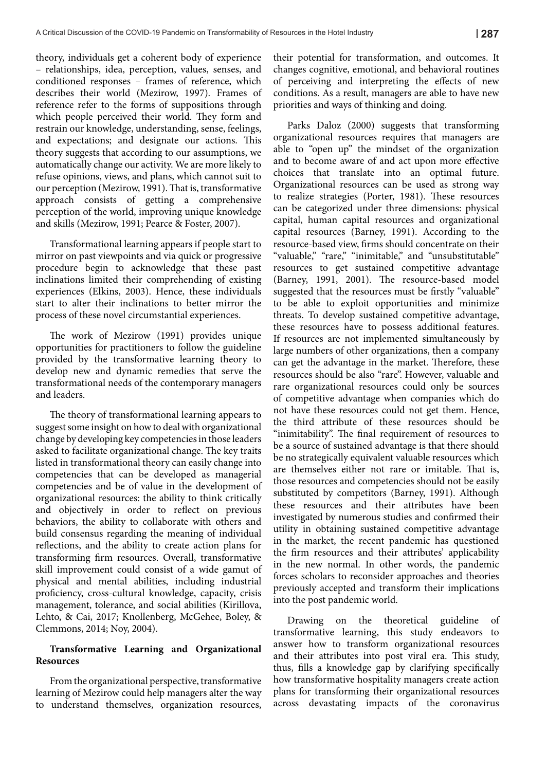theory, individuals get a coherent body of experience – relationships, idea, perception, values, senses, and conditioned responses – frames of reference, which describes their world (Mezirow, 1997). Frames of reference refer to the forms of suppositions through which people perceived their world. They form and restrain our knowledge, understanding, sense, feelings, and expectations; and designate our actions. This theory suggests that according to our assumptions, we automatically change our activity. We are more likely to refuse opinions, views, and plans, which cannot suit to our perception (Mezirow, 1991). That is, transformative approach consists of getting a comprehensive perception of the world, improving unique knowledge and skills (Mezirow, 1991; Pearce & Foster, 2007).

Transformational learning appears if people start to mirror on past viewpoints and via quick or progressive procedure begin to acknowledge that these past inclinations limited their comprehending of existing experiences (Elkins, 2003). Hence, these individuals start to alter their inclinations to better mirror the process of these novel circumstantial experiences.

The work of Mezirow (1991) provides unique opportunities for practitioners to follow the guideline provided by the transformative learning theory to develop new and dynamic remedies that serve the transformational needs of the contemporary managers and leaders.

The theory of transformational learning appears to suggest some insight on how to deal with organizational change by developing key competencies in those leaders asked to facilitate organizational change. The key traits listed in transformational theory can easily change into competencies that can be developed as managerial competencies and be of value in the development of organizational resources: the ability to think critically and objectively in order to reflect on previous behaviors, the ability to collaborate with others and build consensus regarding the meaning of individual reflections, and the ability to create action plans for transforming firm resources. Overall, transformative skill improvement could consist of a wide gamut of physical and mental abilities, including industrial proficiency, cross-cultural knowledge, capacity, crisis management, tolerance, and social abilities (Kirillova, Lehto, & Cai, 2017; Knollenberg, McGehee, Boley, & Clemmons, 2014; Noy, 2004).

# **Transformative Learning and Organizational Resources**

From the organizational perspective, transformative learning of Mezirow could help managers alter the way to understand themselves, organization resources, their potential for transformation, and outcomes. It changes cognitive, emotional, and behavioral routines of perceiving and interpreting the effects of new conditions. As a result, managers are able to have new priorities and ways of thinking and doing.

Parks Daloz (2000) suggests that transforming organizational resources requires that managers are able to "open up" the mindset of the organization and to become aware of and act upon more effective choices that translate into an optimal future. Organizational resources can be used as strong way to realize strategies (Porter, 1981). These resources can be categorized under three dimensions: physical capital, human capital resources and organizational capital resources (Barney, 1991). According to the resource-based view, firms should concentrate on their "valuable," "rare," "inimitable," and "unsubstitutable" resources to get sustained competitive advantage (Barney, 1991, 2001). The resource-based model suggested that the resources must be firstly "valuable" to be able to exploit opportunities and minimize threats. To develop sustained competitive advantage, these resources have to possess additional features. If resources are not implemented simultaneously by large numbers of other organizations, then a company can get the advantage in the market. Therefore, these resources should be also "rare". However, valuable and rare organizational resources could only be sources of competitive advantage when companies which do not have these resources could not get them. Hence, the third attribute of these resources should be "inimitability". The final requirement of resources to be a source of sustained advantage is that there should be no strategically equivalent valuable resources which are themselves either not rare or imitable. That is, those resources and competencies should not be easily substituted by competitors (Barney, 1991). Although these resources and their attributes have been investigated by numerous studies and confirmed their utility in obtaining sustained competitive advantage in the market, the recent pandemic has questioned the firm resources and their attributes' applicability in the new normal. In other words, the pandemic forces scholars to reconsider approaches and theories previously accepted and transform their implications into the post pandemic world.

Drawing on the theoretical guideline of transformative learning, this study endeavors to answer how to transform organizational resources and their attributes into post viral era. This study, thus, fills a knowledge gap by clarifying specifically how transformative hospitality managers create action plans for transforming their organizational resources across devastating impacts of the coronavirus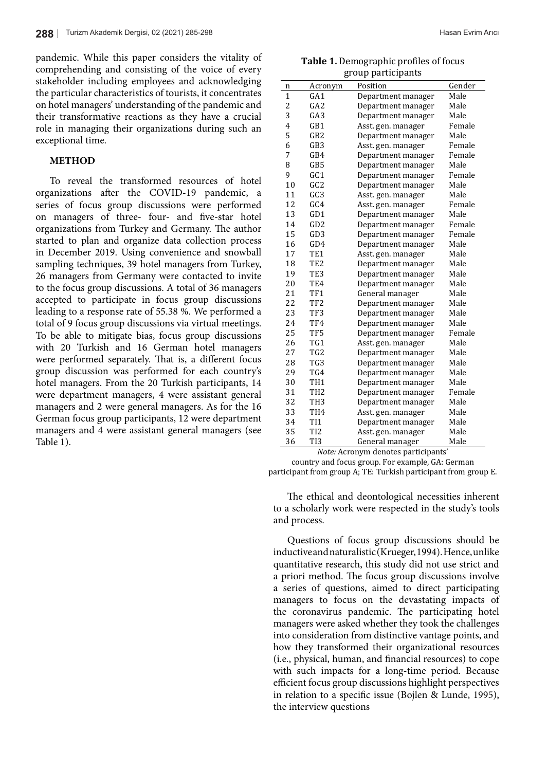pandemic. While this paper considers the vitality of comprehending and consisting of the voice of every stakeholder including employees and acknowledging the particular characteristics of tourists, it concentrates on hotel managers' understanding of the pandemic and their transformative reactions as they have a crucial role in managing their organizations during such an exceptional time.

# **METHOD**

To reveal the transformed resources of hotel organizations after the COVID-19 pandemic, a series of focus group discussions were performed on managers of three- four- and five-star hotel organizations from Turkey and Germany. The author started to plan and organize data collection process in December 2019. Using convenience and snowball sampling techniques, 39 hotel managers from Turkey, 26 managers from Germany were contacted to invite to the focus group discussions. A total of 36 managers accepted to participate in focus group discussions leading to a response rate of 55.38 %. We performed a total of 9 focus group discussions via virtual meetings. To be able to mitigate bias, focus group discussions with 20 Turkish and 16 German hotel managers were performed separately. That is, a different focus group discussion was performed for each country's hotel managers. From the 20 Turkish participants, 14 were department managers, 4 were assistant general managers and 2 were general managers. As for the 16 German focus group participants, 12 were department managers and 4 were assistant general managers (see Table 1).

**Table 1.** Demographic profiles of focus group participants

| n            | Acronym         | Position           | Gender |
|--------------|-----------------|--------------------|--------|
| $\mathbf{1}$ | GA <sub>1</sub> | Department manager | Male   |
| 2            | GA2             | Department manager | Male   |
| 3            | GA <sub>3</sub> | Department manager | Male   |
| 4            | GB1             | Asst. gen. manager | Female |
| 5            | GB2             | Department manager | Male   |
| 6            | GB <sub>3</sub> | Asst. gen. manager | Female |
| 7            | GB4             | Department manager | Female |
| 8            | GB5             | Department manager | Male   |
| 9            | GC1             | Department manager | Female |
| 10           | GC <sub>2</sub> | Department manager | Male   |
| 11           | GC <sub>3</sub> | Asst. gen. manager | Male   |
| 12           | GC4             | Asst. gen. manager | Female |
| 13           | GD1             | Department manager | Male   |
| 14           | GD2             | Department manager | Female |
| 15           | GD <sub>3</sub> | Department manager | Female |
| 16           | GD4             | Department manager | Male   |
| 17           | TE <sub>1</sub> | Asst. gen. manager | Male   |
| 18           | TE <sub>2</sub> | Department manager | Male   |
| 19           | TE <sub>3</sub> | Department manager | Male   |
| 20           | TE4             | Department manager | Male   |
| 21           | TF1             | General manager    | Male   |
| 22           | TF <sub>2</sub> | Department manager | Male   |
| 23           | TF3             | Department manager | Male   |
| 24           | TF4             | Department manager | Male   |
| 25           | TF <sub>5</sub> | Department manager | Female |
| 26           | TG1             | Asst. gen. manager | Male   |
| 27           | TG <sub>2</sub> | Department manager | Male   |
| 28           | TG <sub>3</sub> | Department manager | Male   |
| 29           | TG4             | Department manager | Male   |
| 30           | TH <sub>1</sub> | Department manager | Male   |
| 31           | TH <sub>2</sub> | Department manager | Female |
| 32           | TH <sub>3</sub> | Department manager | Male   |
| 33           | TH <sub>4</sub> | Asst. gen. manager | Male   |
| 34           | TI <sub>1</sub> | Department manager | Male   |
| 35           | T <sub>12</sub> | Asst. gen. manager | Male   |
| 36           | TI3             | General manager    | Male   |

*Note:* Acronym denotes participants'

country and focus group. For example, GA: German participant from group A; TE: Turkish participant from group E.

The ethical and deontological necessities inherent to a scholarly work were respected in the study's tools and process.

Questions of focus group discussions should be inductive and naturalistic (Krueger, 1994). Hence, unlike quantitative research, this study did not use strict and a priori method. The focus group discussions involve a series of questions, aimed to direct participating managers to focus on the devastating impacts of the coronavirus pandemic. The participating hotel managers were asked whether they took the challenges into consideration from distinctive vantage points, and how they transformed their organizational resources (i.e., physical, human, and financial resources) to cope with such impacts for a long-time period. Because efficient focus group discussions highlight perspectives in relation to a specific issue (Bojlen & Lunde, 1995), the interview questions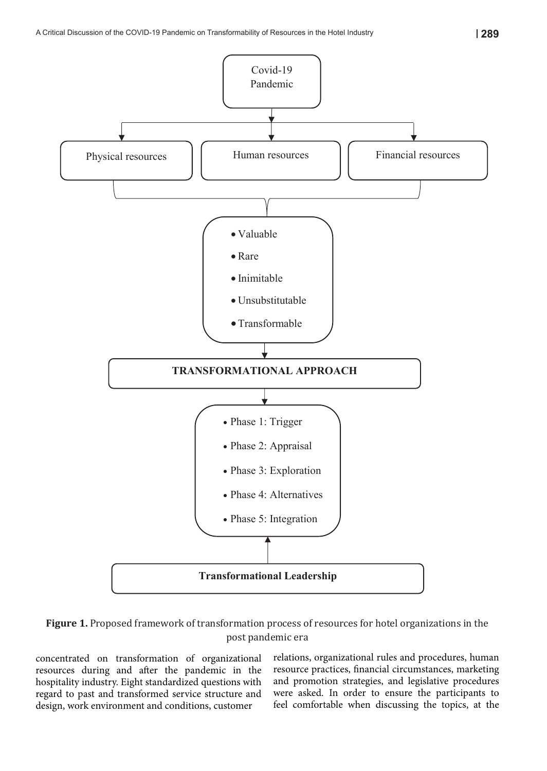

Covid-19

# **Figure 1.** Proposed framework of transformation process of resources for hotel organizations in the post pandemic era

concentrated on transformation of organizational resources during and after the pandemic in the hospitality industry. Eight standardized questions with regard to past and transformed service structure and design, work environment and conditions, customer

relations, organizational rules and procedures, human resource practices, financial circumstances, marketing and promotion strategies, and legislative procedures were asked. In order to ensure the participants to feel comfortable when discussing the topics, at the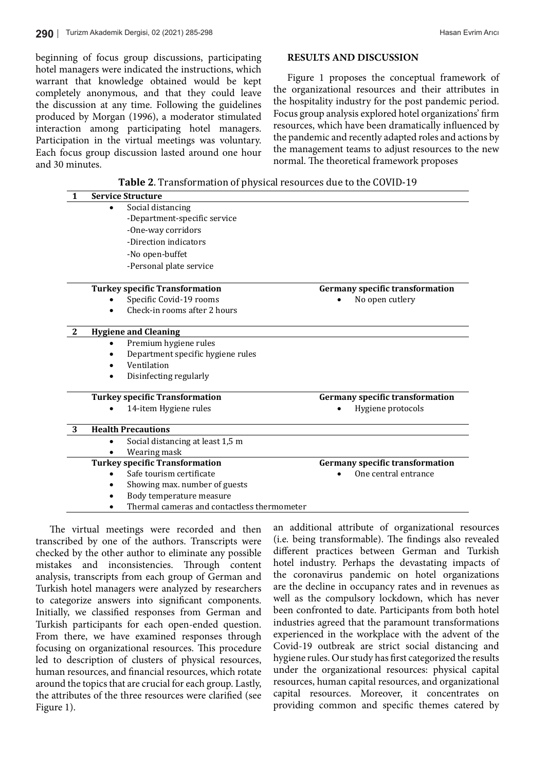beginning of focus group discussions, participating hotel managers were indicated the instructions, which warrant that knowledge obtained would be kept completely anonymous, and that they could leave the discussion at any time. Following the guidelines produced by Morgan (1996), a moderator stimulated interaction among participating hotel managers. Participation in the virtual meetings was voluntary. Each focus group discussion lasted around one hour and 30 minutes.

# **RESULTS AND DISCUSSION**

Figure 1 proposes the conceptual framework of the organizational resources and their attributes in the hospitality industry for the post pandemic period. Focus group analysis explored hotel organizations' firm resources, which have been dramatically influenced by the pandemic and recently adapted roles and actions by the management teams to adjust resources to the new normal. The theoretical framework proposes

| $\mathbf{1}$ | <b>Service Structure</b>                      |                                        |
|--------------|-----------------------------------------------|----------------------------------------|
|              | Social distancing<br>$\bullet$                |                                        |
|              | -Department-specific service                  |                                        |
|              | -One-way corridors                            |                                        |
|              | -Direction indicators                         |                                        |
|              | -No open-buffet                               |                                        |
|              | -Personal plate service                       |                                        |
|              | <b>Turkey specific Transformation</b>         | <b>Germany specific transformation</b> |
|              | Specific Covid-19 rooms                       | No open cutlery                        |
|              | Check-in rooms after 2 hours                  |                                        |
| $\mathbf{2}$ | <b>Hygiene and Cleaning</b>                   |                                        |
|              | Premium hygiene rules                         |                                        |
|              | Department specific hygiene rules             |                                        |
|              | Ventilation                                   |                                        |
|              | Disinfecting regularly                        |                                        |
|              | <b>Turkey specific Transformation</b>         | <b>Germany specific transformation</b> |
|              | 14-item Hygiene rules                         | Hygiene protocols                      |
| 3            | <b>Health Precautions</b>                     |                                        |
|              | Social distancing at least 1,5 m<br>$\bullet$ |                                        |
|              | Wearing mask                                  |                                        |
|              | <b>Turkey specific Transformation</b>         | <b>Germany specific transformation</b> |
|              | Safe tourism certificate<br>$\bullet$         | One central entrance                   |
|              | Showing max. number of guests                 |                                        |
|              | Body temperature measure                      |                                        |
|              | Thermal cameras and contactless thermometer   |                                        |

The virtual meetings were recorded and then transcribed by one of the authors. Transcripts were (i.e. being transformable) checked by the other author to eliminate any possible mistakes and inconsistencies. Through content analysis, transcripts from each group of German and the correction of the correction of the correction of the  $\epsilon$ Turkish hotel managers were analyzed by researchers are the decline in the comparison of the comparison of the comparison of the comparison of the comparison of the comparison of the comparison of the comparison of the com to categorize answers into significant components. Initially, we classified responses from German and beel Turkish participants for each open-ended question. Industri From there, we have examined responses through experienced in the wo focusing on organizational resources. This procedure led to description of clusters of physical resources, hygiene rules. human resources, and financial resources, which rotate around the topics that are crucial for each group. Lastly, resour the attributes of the three resources were clarified (see Figure 1).

an additional attribute of organizational resources (i.e. being transformable). The findings also revealed different practices between German and Turkish content hotel industry. Perhaps the devastating impacts of the coronavirus pandemic on hotel organizations are the decline in occupancy rates and in revenues as well as the compulsory lockdown, which has never been confronted to date. Participants from both hotel industries agreed that the paramount transformations experienced in the workplace with the advent of the Covid-19 outbreak are strict social distancing and hygiene rules. Our study has first categorized the results under the organizational resources: physical capital resources, human capital resources, and organizational capital resources. Moreover, it concentrates on providing common and specific themes catered by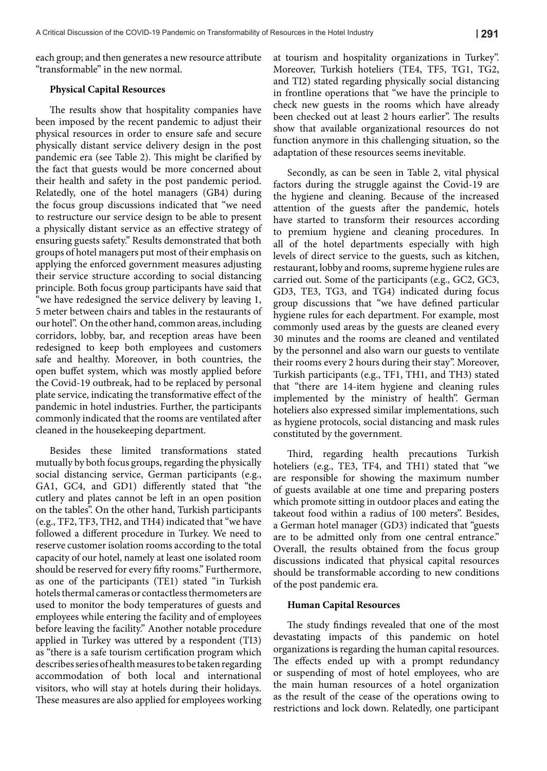each group; and then generates a new resource attribute "transformable" in the new normal.

#### **Physical Capital Resources**

The results show that hospitality companies have been imposed by the recent pandemic to adjust their physical resources in order to ensure safe and secure physically distant service delivery design in the post pandemic era (see Table 2). This might be clarified by the fact that guests would be more concerned about their health and safety in the post pandemic period. Relatedly, one of the hotel managers (GB4) during the focus group discussions indicated that "we need to restructure our service design to be able to present a physically distant service as an effective strategy of ensuring guests safety." Results demonstrated that both groups of hotel managers put most of their emphasis on applying the enforced government measures adjusting their service structure according to social distancing principle. Both focus group participants have said that "we have redesigned the service delivery by leaving 1, 5 meter between chairs and tables in the restaurants of our hotel". On the other hand, common areas, including corridors, lobby, bar, and reception areas have been redesigned to keep both employees and customers safe and healthy. Moreover, in both countries, the open buffet system, which was mostly applied before the Covid-19 outbreak, had to be replaced by personal plate service, indicating the transformative effect of the pandemic in hotel industries. Further, the participants commonly indicated that the rooms are ventilated after cleaned in the housekeeping department.

Besides these limited transformations stated mutually by both focus groups, regarding the physically social distancing service, German participants (e.g., GA1, GC4, and GD1) differently stated that "the cutlery and plates cannot be left in an open position on the tables". On the other hand, Turkish participants (e.g., TF2, TF3, TH2, and TH4) indicated that "we have followed a different procedure in Turkey. We need to reserve customer isolation rooms according to the total capacity of our hotel, namely at least one isolated room should be reserved for every fifty rooms." Furthermore, as one of the participants (TE1) stated "in Turkish hotels thermal cameras or contactless thermometers are used to monitor the body temperatures of guests and employees while entering the facility and of employees before leaving the facility." Another notable procedure applied in Turkey was uttered by a respondent (TI3) as "there is a safe tourism certification program which describes series of health measures to be taken regarding accommodation of both local and international visitors, who will stay at hotels during their holidays. These measures are also applied for employees working at tourism and hospitality organizations in Turkey". Moreover, Turkish hoteliers (TE4, TF5, TG1, TG2, and TI2) stated regarding physically social distancing in frontline operations that "we have the principle to check new guests in the rooms which have already been checked out at least 2 hours earlier". The results show that available organizational resources do not function anymore in this challenging situation, so the adaptation of these resources seems inevitable.

Secondly, as can be seen in Table 2, vital physical factors during the struggle against the Covid-19 are the hygiene and cleaning. Because of the increased attention of the guests after the pandemic, hotels have started to transform their resources according to premium hygiene and cleaning procedures. In all of the hotel departments especially with high levels of direct service to the guests, such as kitchen, restaurant, lobby and rooms, supreme hygiene rules are carried out. Some of the participants (e.g., GC2, GC3, GD3, TE3, TG3, and TG4) indicated during focus group discussions that "we have defined particular hygiene rules for each department. For example, most commonly used areas by the guests are cleaned every 30 minutes and the rooms are cleaned and ventilated by the personnel and also warn our guests to ventilate their rooms every 2 hours during their stay". Moreover, Turkish participants (e.g., TF1, TH1, and TH3) stated that "there are 14-item hygiene and cleaning rules implemented by the ministry of health". German hoteliers also expressed similar implementations, such as hygiene protocols, social distancing and mask rules constituted by the government.

Third, regarding health precautions Turkish hoteliers (e.g., TE3, TF4, and TH1) stated that "we are responsible for showing the maximum number of guests available at one time and preparing posters which promote sitting in outdoor places and eating the takeout food within a radius of 100 meters". Besides, a German hotel manager (GD3) indicated that "guests are to be admitted only from one central entrance." Overall, the results obtained from the focus group discussions indicated that physical capital resources should be transformable according to new conditions of the post pandemic era.

#### **Human Capital Resources**

The study findings revealed that one of the most devastating impacts of this pandemic on hotel organizations is regarding the human capital resources. The effects ended up with a prompt redundancy or suspending of most of hotel employees, who are the main human resources of a hotel organization as the result of the cease of the operations owing to restrictions and lock down. Relatedly, one participant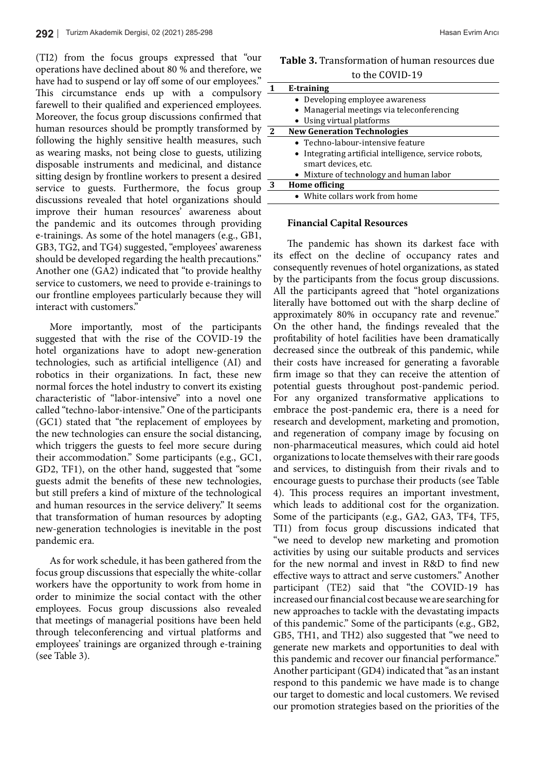(TI2) from the focus groups expressed that "our operations have declined about 80 % and therefore, we have had to suspend or lay off some of our employees." This circumstance ends up with a compulsory farewell to their qualified and experienced employees. Moreover, the focus group discussions confirmed that human resources should be promptly transformed by following the highly sensitive health measures, such as wearing masks, not being close to guests, utilizing disposable instruments and medicinal, and distance sitting design by frontline workers to present a desired service to guests. Furthermore, the focus group discussions revealed that hotel organizations should improve their human resources' awareness about the pandemic and its outcomes through providing e-trainings. As some of the hotel managers (e.g., GB1, GB3, TG2, and TG4) suggested, "employees' awareness should be developed regarding the health precautions." Another one (GA2) indicated that "to provide healthy service to customers, we need to provide e-trainings to our frontline employees particularly because they will interact with customers."

More importantly, most of the participants suggested that with the rise of the COVID-19 the hotel organizations have to adopt new-generation technologies, such as artificial intelligence (AI) and robotics in their organizations. In fact, these new normal forces the hotel industry to convert its existing characteristic of "labor-intensive" into a novel one called "techno-labor-intensive." One of the participants (GC1) stated that "the replacement of employees by the new technologies can ensure the social distancing, which triggers the guests to feel more secure during their accommodation." Some participants (e.g., GC1, GD2, TF1), on the other hand, suggested that "some guests admit the benefits of these new technologies, but still prefers a kind of mixture of the technological and human resources in the service delivery." It seems that transformation of human resources by adopting new-generation technologies is inevitable in the post pandemic era.

As for work schedule, it has been gathered from the focus group discussions that especially the white-collar workers have the opportunity to work from home in order to minimize the social contact with the other employees. Focus group discussions also revealed that meetings of managerial positions have been held through teleconferencing and virtual platforms and employees' trainings are organized through e-training (see Table 3).

| <b>Table 3.</b> Transformation of human resources due |  |
|-------------------------------------------------------|--|
| to the COVID-19                                       |  |

|    | E-training                                                                    |  |
|----|-------------------------------------------------------------------------------|--|
|    | • Developing employee awareness                                               |  |
|    | • Managerial meetings via teleconferencing                                    |  |
|    | • Using virtual platforms                                                     |  |
| -2 | <b>New Generation Technologies</b>                                            |  |
|    | • Techno-labour-intensive feature                                             |  |
|    | • Integrating artificial intelligence, service robots,<br>smart devices, etc. |  |
|    | • Mixture of technology and human labor                                       |  |
| 3  | <b>Home officing</b>                                                          |  |
|    | • White collars work from home                                                |  |
|    |                                                                               |  |

#### **Financial Capital Resources**

The pandemic has shown its darkest face with its effect on the decline of occupancy rates and consequently revenues of hotel organizations, as stated by the participants from the focus group discussions. All the participants agreed that "hotel organizations literally have bottomed out with the sharp decline of approximately 80% in occupancy rate and revenue." On the other hand, the findings revealed that the profitability of hotel facilities have been dramatically decreased since the outbreak of this pandemic, while their costs have increased for generating a favorable firm image so that they can receive the attention of potential guests throughout post-pandemic period. For any organized transformative applications to embrace the post-pandemic era, there is a need for research and development, marketing and promotion, and regeneration of company image by focusing on non-pharmaceutical measures, which could aid hotel organizations to locate themselves with their rare goods and services, to distinguish from their rivals and to encourage guests to purchase their products (see Table 4). This process requires an important investment, which leads to additional cost for the organization. Some of the participants (e.g., GA2, GA3, TF4, TF5, TI1) from focus group discussions indicated that "we need to develop new marketing and promotion activities by using our suitable products and services for the new normal and invest in R&D to find new effective ways to attract and serve customers." Another participant (TE2) said that "the COVID-19 has increased our financial cost because we are searching for new approaches to tackle with the devastating impacts of this pandemic." Some of the participants (e.g., GB2, GB5, TH1, and TH2) also suggested that "we need to generate new markets and opportunities to deal with this pandemic and recover our financial performance." Another participant (GD4) indicated that "as an instant respond to this pandemic we have made is to change our target to domestic and local customers. We revised our promotion strategies based on the priorities of the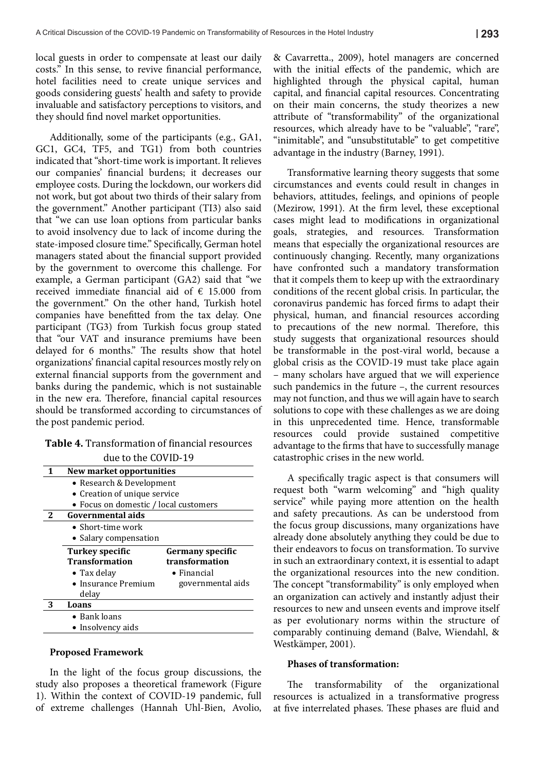local guests in order to compensate at least our daily costs." In this sense, to revive financial performance, hotel facilities need to create unique services and goods considering guests' health and safety to provide invaluable and satisfactory perceptions to visitors, and they should find novel market opportunities.

Additionally, some of the participants (e.g., GA1, GC1, GC4, TF5, and TG1) from both countries indicated that "short-time work is important. It relieves our companies' financial burdens; it decreases our employee costs. During the lockdown, our workers did not work, but got about two thirds of their salary from the government." Another participant (TI3) also said that "we can use loan options from particular banks to avoid insolvency due to lack of income during the state-imposed closure time." Specifically, German hotel managers stated about the financial support provided by the government to overcome this challenge. For example, a German participant (GA2) said that "we received immediate financial aid of € 15.000 from the government." On the other hand, Turkish hotel companies have benefitted from the tax delay. One participant (TG3) from Turkish focus group stated that "our VAT and insurance premiums have been delayed for 6 months." The results show that hotel organizations' financial capital resources mostly rely on external financial supports from the government and banks during the pandemic, which is not sustainable in the new era. Therefore, financial capital resources should be transformed according to circumstances of the post pandemic period.

# **Table 4.** Transformation of financial resources due to the COVID-19

|   | New market opportunities              |                         |  |
|---|---------------------------------------|-------------------------|--|
|   | • Research & Development              |                         |  |
|   | • Creation of unique service          |                         |  |
|   | • Focus on domestic / local customers |                         |  |
| 2 | Governmental aids                     |                         |  |
|   | $\bullet$ Short-time work             |                         |  |
|   | • Salary compensation                 |                         |  |
|   | <b>Turkey specific</b>                | <b>Germany specific</b> |  |
|   | <b>Transformation</b>                 | transformation          |  |
|   | $\bullet$ Tax delay                   | $\bullet$ Financial     |  |
|   | • Insurance Premium                   | governmental aids       |  |
|   | delay                                 |                         |  |
|   | Loans                                 |                         |  |
|   | $\bullet$ Bank loans                  |                         |  |
|   | • Insolvency aids                     |                         |  |

#### **Proposed Framework**

In the light of the focus group discussions, the study also proposes a theoretical framework (Figure 1). Within the context of COVID-19 pandemic, full of extreme challenges (Hannah Uhl-Bien, Avolio, & Cavarretta., 2009), hotel managers are concerned with the initial effects of the pandemic, which are highlighted through the physical capital, human capital, and financial capital resources. Concentrating on their main concerns, the study theorizes a new attribute of "transformability" of the organizational resources, which already have to be "valuable", "rare", "inimitable", and "unsubstitutable" to get competitive advantage in the industry (Barney, 1991).

Transformative learning theory suggests that some circumstances and events could result in changes in behaviors, attitudes, feelings, and opinions of people (Mezirow, 1991). At the firm level, these exceptional cases might lead to modifications in organizational goals, strategies, and resources. Transformation means that especially the organizational resources are continuously changing. Recently, many organizations have confronted such a mandatory transformation that it compels them to keep up with the extraordinary conditions of the recent global crisis. In particular, the coronavirus pandemic has forced firms to adapt their physical, human, and financial resources according to precautions of the new normal. Therefore, this study suggests that organizational resources should be transformable in the post-viral world, because a global crisis as the COVID-19 must take place again – many scholars have argued that we will experience such pandemics in the future –, the current resources may not function, and thus we will again have to search solutions to cope with these challenges as we are doing in this unprecedented time. Hence, transformable resources could provide sustained competitive advantage to the firms that have to successfully manage catastrophic crises in the new world.

A specifically tragic aspect is that consumers will request both "warm welcoming" and "high quality service" while paying more attention on the health and safety precautions. As can be understood from the focus group discussions, many organizations have already done absolutely anything they could be due to their endeavors to focus on transformation. To survive in such an extraordinary context, it is essential to adapt the organizational resources into the new condition. The concept "transformability" is only employed when an organization can actively and instantly adjust their resources to new and unseen events and improve itself as per evolutionary norms within the structure of comparably continuing demand (Balve, Wiendahl, & Westkämper, 2001).

#### **Phases of transformation:**

The transformability of the organizational resources is actualized in a transformative progress at five interrelated phases. These phases are fluid and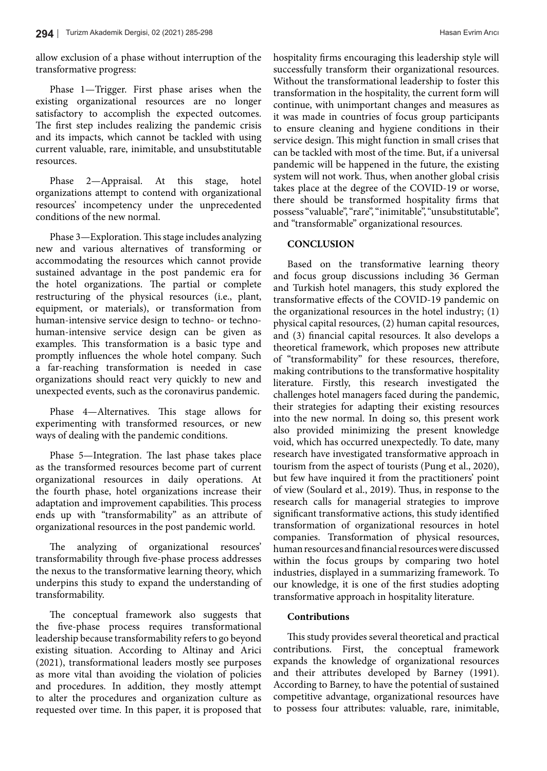allow exclusion of a phase without interruption of the transformative progress:

Phase 1—Trigger. First phase arises when the existing organizational resources are no longer satisfactory to accomplish the expected outcomes. The first step includes realizing the pandemic crisis and its impacts, which cannot be tackled with using current valuable, rare, inimitable, and unsubstitutable resources.

Phase 2—Appraisal. At this stage, hotel organizations attempt to contend with organizational resources' incompetency under the unprecedented conditions of the new normal.

Phase 3—Exploration. This stage includes analyzing new and various alternatives of transforming or accommodating the resources which cannot provide sustained advantage in the post pandemic era for the hotel organizations. The partial or complete restructuring of the physical resources (i.e., plant, equipment, or materials), or transformation from human-intensive service design to techno- or technohuman-intensive service design can be given as examples. This transformation is a basic type and promptly influences the whole hotel company. Such a far-reaching transformation is needed in case organizations should react very quickly to new and unexpected events, such as the coronavirus pandemic.

Phase 4—Alternatives. This stage allows for experimenting with transformed resources, or new ways of dealing with the pandemic conditions.

Phase 5—Integration. The last phase takes place as the transformed resources become part of current organizational resources in daily operations. At the fourth phase, hotel organizations increase their adaptation and improvement capabilities. This process ends up with "transformability" as an attribute of organizational resources in the post pandemic world.

The analyzing of organizational resources' transformability through five-phase process addresses the nexus to the transformative learning theory, which underpins this study to expand the understanding of transformability.

The conceptual framework also suggests that the five-phase process requires transformational leadership because transformability refers to go beyond existing situation. According to Altinay and Arici (2021), transformational leaders mostly see purposes as more vital than avoiding the violation of policies and procedures. In addition, they mostly attempt to alter the procedures and organization culture as requested over time. In this paper, it is proposed that hospitality firms encouraging this leadership style will successfully transform their organizational resources. Without the transformational leadership to foster this transformation in the hospitality, the current form will continue, with unimportant changes and measures as it was made in countries of focus group participants to ensure cleaning and hygiene conditions in their service design. This might function in small crises that can be tackled with most of the time. But, if a universal pandemic will be happened in the future, the existing system will not work. Thus, when another global crisis takes place at the degree of the COVID-19 or worse, there should be transformed hospitality firms that possess "valuable", "rare", "inimitable", "unsubstitutable", and "transformable" organizational resources.

## **CONCLUSION**

Based on the transformative learning theory and focus group discussions including 36 German and Turkish hotel managers, this study explored the transformative effects of the COVID-19 pandemic on the organizational resources in the hotel industry; (1) physical capital resources, (2) human capital resources, and (3) financial capital resources. It also develops a theoretical framework, which proposes new attribute of "transformability" for these resources, therefore, making contributions to the transformative hospitality literature. Firstly, this research investigated the challenges hotel managers faced during the pandemic, their strategies for adapting their existing resources into the new normal. In doing so, this present work also provided minimizing the present knowledge void, which has occurred unexpectedly. To date, many research have investigated transformative approach in tourism from the aspect of tourists (Pung et al., 2020), but few have inquired it from the practitioners' point of view (Soulard et al., 2019). Thus, in response to the research calls for managerial strategies to improve significant transformative actions, this study identified transformation of organizational resources in hotel companies. Transformation of physical resources, human resources and financial resources were discussed within the focus groups by comparing two hotel industries, displayed in a summarizing framework. To our knowledge, it is one of the first studies adopting transformative approach in hospitality literature.

## **Contributions**

This study provides several theoretical and practical contributions. First, the conceptual framework expands the knowledge of organizational resources and their attributes developed by Barney (1991). According to Barney, to have the potential of sustained competitive advantage, organizational resources have to possess four attributes: valuable, rare, inimitable,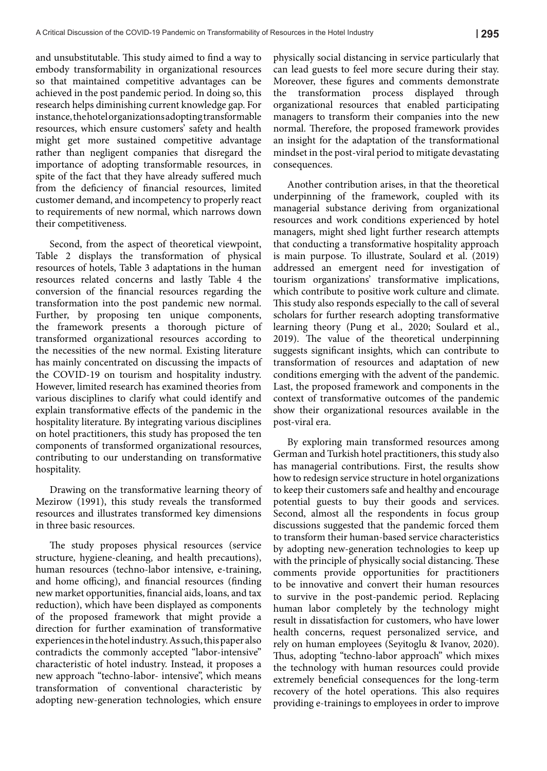and unsubstitutable. This study aimed to find a way to embody transformability in organizational resources so that maintained competitive advantages can be achieved in the post pandemic period. In doing so, this research helps diminishing current knowledge gap. For instance, the hotel organizations adopting transformable resources, which ensure customers' safety and health might get more sustained competitive advantage rather than negligent companies that disregard the importance of adopting transformable resources, in spite of the fact that they have already suffered much from the deficiency of financial resources, limited customer demand, and incompetency to properly react to requirements of new normal, which narrows down their competitiveness.

Second, from the aspect of theoretical viewpoint, Table 2 displays the transformation of physical resources of hotels, Table 3 adaptations in the human resources related concerns and lastly Table 4 the conversion of the financial resources regarding the transformation into the post pandemic new normal. Further, by proposing ten unique components, the framework presents a thorough picture of transformed organizational resources according to the necessities of the new normal. Existing literature has mainly concentrated on discussing the impacts of the COVID-19 on tourism and hospitality industry. However, limited research has examined theories from various disciplines to clarify what could identify and explain transformative effects of the pandemic in the hospitality literature. By integrating various disciplines on hotel practitioners, this study has proposed the ten components of transformed organizational resources, contributing to our understanding on transformative hospitality.

Drawing on the transformative learning theory of Mezirow (1991), this study reveals the transformed resources and illustrates transformed key dimensions in three basic resources.

The study proposes physical resources (service structure, hygiene-cleaning, and health precautions), human resources (techno-labor intensive, e-training, and home officing), and financial resources (finding new market opportunities, financial aids, loans, and tax reduction), which have been displayed as components of the proposed framework that might provide a direction for further examination of transformative experiences in the hotel industry. As such, this paper also contradicts the commonly accepted "labor-intensive" characteristic of hotel industry. Instead, it proposes a new approach "techno-labor- intensive", which means transformation of conventional characteristic by adopting new-generation technologies, which ensure physically social distancing in service particularly that can lead guests to feel more secure during their stay. Moreover, these figures and comments demonstrate the transformation process displayed through organizational resources that enabled participating managers to transform their companies into the new normal. Therefore, the proposed framework provides an insight for the adaptation of the transformational mindset in the post-viral period to mitigate devastating consequences.

Another contribution arises, in that the theoretical underpinning of the framework, coupled with its managerial substance deriving from organizational resources and work conditions experienced by hotel managers, might shed light further research attempts that conducting a transformative hospitality approach is main purpose. To illustrate, Soulard et al. (2019) addressed an emergent need for investigation of tourism organizations' transformative implications, which contribute to positive work culture and climate. This study also responds especially to the call of several scholars for further research adopting transformative learning theory (Pung et al., 2020; Soulard et al., 2019). The value of the theoretical underpinning suggests significant insights, which can contribute to transformation of resources and adaptation of new conditions emerging with the advent of the pandemic. Last, the proposed framework and components in the context of transformative outcomes of the pandemic show their organizational resources available in the post-viral era.

By exploring main transformed resources among German and Turkish hotel practitioners, this study also has managerial contributions. First, the results show how to redesign service structure in hotel organizations to keep their customers safe and healthy and encourage potential guests to buy their goods and services. Second, almost all the respondents in focus group discussions suggested that the pandemic forced them to transform their human-based service characteristics by adopting new-generation technologies to keep up with the principle of physically social distancing. These comments provide opportunities for practitioners to be innovative and convert their human resources to survive in the post-pandemic period. Replacing human labor completely by the technology might result in dissatisfaction for customers, who have lower health concerns, request personalized service, and rely on human employees (Seyitoglu & Ivanov, 2020). Thus, adopting "techno-labor approach" which mixes the technology with human resources could provide extremely beneficial consequences for the long-term recovery of the hotel operations. This also requires providing e-trainings to employees in order to improve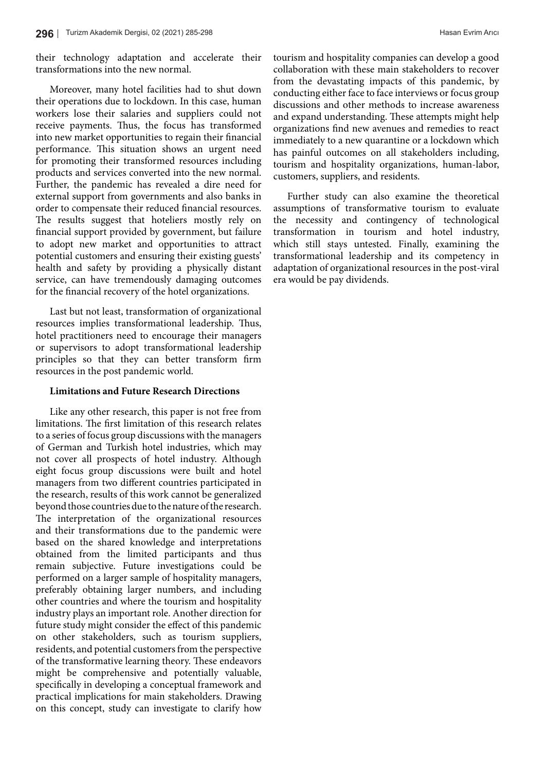their technology adaptation and accelerate their transformations into the new normal.

Moreover, many hotel facilities had to shut down their operations due to lockdown. In this case, human workers lose their salaries and suppliers could not receive payments. Thus, the focus has transformed into new market opportunities to regain their financial performance. This situation shows an urgent need for promoting their transformed resources including products and services converted into the new normal. Further, the pandemic has revealed a dire need for external support from governments and also banks in order to compensate their reduced financial resources. The results suggest that hoteliers mostly rely on financial support provided by government, but failure to adopt new market and opportunities to attract potential customers and ensuring their existing guests' health and safety by providing a physically distant service, can have tremendously damaging outcomes for the financial recovery of the hotel organizations.

Last but not least, transformation of organizational resources implies transformational leadership. Thus, hotel practitioners need to encourage their managers or supervisors to adopt transformational leadership principles so that they can better transform firm resources in the post pandemic world.

## **Limitations and Future Research Directions**

Like any other research, this paper is not free from limitations. The first limitation of this research relates to a series of focus group discussions with the managers of German and Turkish hotel industries, which may not cover all prospects of hotel industry. Although eight focus group discussions were built and hotel managers from two different countries participated in the research, results of this work cannot be generalized beyond those countries due to the nature of the research. The interpretation of the organizational resources and their transformations due to the pandemic were based on the shared knowledge and interpretations obtained from the limited participants and thus remain subjective. Future investigations could be performed on a larger sample of hospitality managers, preferably obtaining larger numbers, and including other countries and where the tourism and hospitality industry plays an important role. Another direction for future study might consider the effect of this pandemic on other stakeholders, such as tourism suppliers, residents, and potential customers from the perspective of the transformative learning theory. These endeavors might be comprehensive and potentially valuable, specifically in developing a conceptual framework and practical implications for main stakeholders. Drawing on this concept, study can investigate to clarify how tourism and hospitality companies can develop a good collaboration with these main stakeholders to recover from the devastating impacts of this pandemic, by conducting either face to face interviews or focus group discussions and other methods to increase awareness and expand understanding. These attempts might help organizations find new avenues and remedies to react immediately to a new quarantine or a lockdown which has painful outcomes on all stakeholders including, tourism and hospitality organizations, human-labor, customers, suppliers, and residents.

Further study can also examine the theoretical assumptions of transformative tourism to evaluate the necessity and contingency of technological transformation in tourism and hotel industry, which still stays untested. Finally, examining the transformational leadership and its competency in adaptation of organizational resources in the post-viral era would be pay dividends.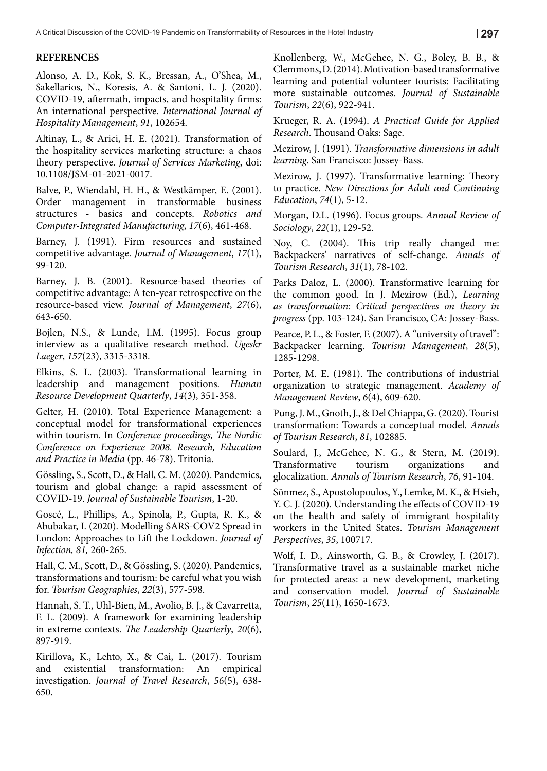# **REFERENCES**

Alonso, A. D., Kok, S. K., Bressan, A., O'Shea, M., Sakellarios, N., Koresis, A. & Santoni, L. J. (2020). COVID-19, aftermath, impacts, and hospitality firms: An international perspective. *International Journal of Hospitality Management*, *91*, 102654.

Altinay, L., & Arici, H. E. (2021). Transformation of the hospitality services marketing structure: a chaos theory perspective. *Journal of Services Marketing*, doi: 10.1108/JSM-01-2021-0017.

Balve, P., Wiendahl, H. H., & Westkämper, E. (2001). Order management in transformable business structures - basics and concepts. *Robotics and Computer-Integrated Manufacturing*, *17*(6), 461-468.

Barney, J. (1991). Firm resources and sustained competitive advantage. *Journal of Management*, *17*(1), 99-120.

Barney, J. B. (2001). Resource-based theories of competitive advantage: A ten-year retrospective on the resource-based view. *Journal of Management*, *27*(6), 643-650.

Bojlen, N.S., & Lunde, I.M. (1995). Focus group interview as a qualitative research method. *Ugeskr Laeger*, *157*(23), 3315-3318.

Elkins, S. L. (2003). Transformational learning in leadership and management positions. *Human Resource Development Quarterly*, *14*(3), 351-358.

Gelter, H. (2010). Total Experience Management: a conceptual model for transformational experiences within tourism. In *Conference proceedings, The Nordic Conference on Experience 2008. Research, Education and Practice in Media* (pp. 46-78). Tritonia.

Gössling, S., Scott, D., & Hall, C. M. (2020). Pandemics, tourism and global change: a rapid assessment of COVID-19. *Journal of Sustainable Tourism*, 1-20.

Goscé, L., Phillips, A., Spinola, P., Gupta, R. K., & Abubakar, I. (2020). Modelling SARS-COV2 Spread in London: Approaches to Lift the Lockdown. *Journal of Infection, 81,* 260-265.

Hall, C. M., Scott, D., & Gössling, S. (2020). Pandemics, transformations and tourism: be careful what you wish for. *Tourism Geographies*, *22*(3), 577-598.

Hannah, S. T., Uhl-Bien, M., Avolio, B. J., & Cavarretta, F. L. (2009). A framework for examining leadership in extreme contexts. *The Leadership Quarterly*, *20*(6), 897-919.

Kirillova, K., Lehto, X., & Cai, L. (2017). Tourism and existential transformation: An empirical investigation. *Journal of Travel Research*, *56*(5), 638- 650.

Knollenberg, W., McGehee, N. G., Boley, B. B., & Clemmons, D. (2014). Motivation-based transformative learning and potential volunteer tourists: Facilitating more sustainable outcomes. *Journal of Sustainable Tourism*, *22*(6), 922-941.

Krueger, R. A. (1994). *A Practical Guide for Applied Research*. Thousand Oaks: Sage.

Mezirow, J. (1991). *Transformative dimensions in adult learning*. San Francisco: Jossey-Bass.

Mezirow, J. (1997). Transformative learning: Theory to practice. *New Directions for Adult and Continuing Education*, *74*(1), 5-12.

Morgan, D.L. (1996). Focus groups. *Annual Review of Sociology*, *22*(1), 129-52.

Noy, C. (2004). This trip really changed me: Backpackers' narratives of self-change. *Annals of Tourism Research*, *31*(1), 78-102.

Parks Daloz, L. (2000). Transformative learning for the common good. In J. Mezirow (Ed.), *Learning as transformation: Critical perspectives on theory in progress* (pp. 103-124). San Francisco, CA: Jossey-Bass.

Pearce, P. L., & Foster, F. (2007). A "university of travel": Backpacker learning. *Tourism Management*, *28*(5), 1285-1298.

Porter, M. E. (1981). The contributions of industrial organization to strategic management. *Academy of Management Review*, *6*(4), 609-620.

Pung, J. M., Gnoth, J., & Del Chiappa, G. (2020). Tourist transformation: Towards a conceptual model. *Annals of Tourism Research*, *81*, 102885.

Soulard, J., McGehee, N. G., & Stern, M. (2019). Transformative tourism organizations and glocalization. *Annals of Tourism Research*, *76*, 91-104.

Sönmez, S., Apostolopoulos, Y., Lemke, M. K., & Hsieh, Y. C. J. (2020). Understanding the effects of COVID-19 on the health and safety of immigrant hospitality workers in the United States. *Tourism Management Perspectives*, *35*, 100717.

Wolf, I. D., Ainsworth, G. B., & Crowley, J. (2017). Transformative travel as a sustainable market niche for protected areas: a new development, marketing and conservation model. *Journal of Sustainable Tourism*, *25*(11), 1650-1673.